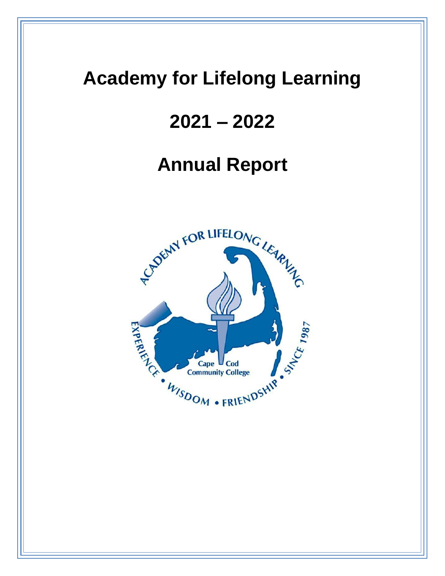# **Academy for Lifelong Learning**

# **2021 – 2022**

# **Annual Report**

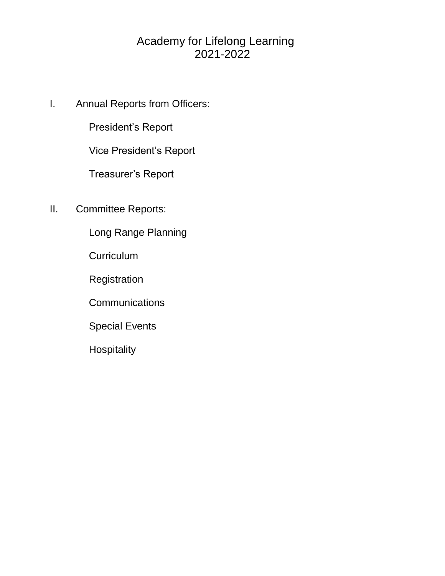# Academy for Lifelong Learning 2021-2022

I. Annual Reports from Officers:

President's Report

Vice President's Report

Treasurer's Report

II. Committee Reports:

Long Range Planning

**Curriculum** 

**Registration** 

**Communications** 

Special Events

**Hospitality**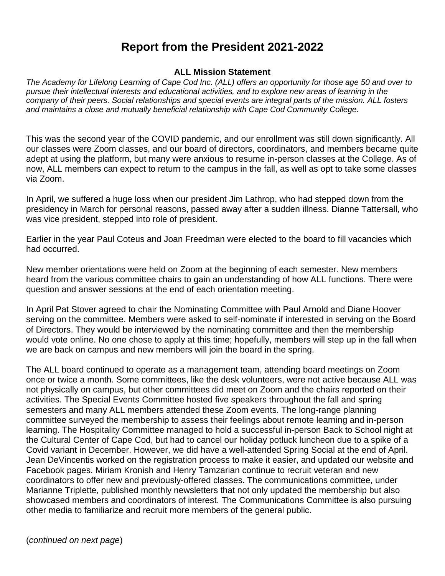## **Report from the President 2021-2022**

### **ALL Mission Statement**

*The Academy for Lifelong Learning of Cape Cod Inc. (ALL) offers an opportunity for those age 50 and over to pursue their intellectual interests and educational activities, and to explore new areas of learning in the company of their peers. Social relationships and special events are integral parts of the mission. ALL fosters and maintains a close and mutually beneficial relationship with Cape Cod Community College.*

This was the second year of the COVID pandemic, and our enrollment was still down significantly. All our classes were Zoom classes, and our board of directors, coordinators, and members became quite adept at using the platform, but many were anxious to resume in-person classes at the College. As of now, ALL members can expect to return to the campus in the fall, as well as opt to take some classes via Zoom.

In April, we suffered a huge loss when our president Jim Lathrop, who had stepped down from the presidency in March for personal reasons, passed away after a sudden illness. Dianne Tattersall, who was vice president, stepped into role of president.

Earlier in the year Paul Coteus and Joan Freedman were elected to the board to fill vacancies which had occurred.

New member orientations were held on Zoom at the beginning of each semester. New members heard from the various committee chairs to gain an understanding of how ALL functions. There were question and answer sessions at the end of each orientation meeting.

In April Pat Stover agreed to chair the Nominating Committee with Paul Arnold and Diane Hoover serving on the committee. Members were asked to self-nominate if interested in serving on the Board of Directors. They would be interviewed by the nominating committee and then the membership would vote online. No one chose to apply at this time; hopefully, members will step up in the fall when we are back on campus and new members will join the board in the spring.

The ALL board continued to operate as a management team, attending board meetings on Zoom once or twice a month. Some committees, like the desk volunteers, were not active because ALL was not physically on campus, but other committees did meet on Zoom and the chairs reported on their activities. The Special Events Committee hosted five speakers throughout the fall and spring semesters and many ALL members attended these Zoom events. The long-range planning committee surveyed the membership to assess their feelings about remote learning and in-person learning. The Hospitality Committee managed to hold a successful in-person Back to School night at the Cultural Center of Cape Cod, but had to cancel our holiday potluck luncheon due to a spike of a Covid variant in December. However, we did have a well-attended Spring Social at the end of April. Jean DeVincentis worked on the registration process to make it easier, and updated our website and Facebook pages. Miriam Kronish and Henry Tamzarian continue to recruit veteran and new coordinators to offer new and previously-offered classes. The communications committee, under Marianne Triplette, published monthly newsletters that not only updated the membership but also showcased members and coordinators of interest. The Communications Committee is also pursuing other media to familiarize and recruit more members of the general public.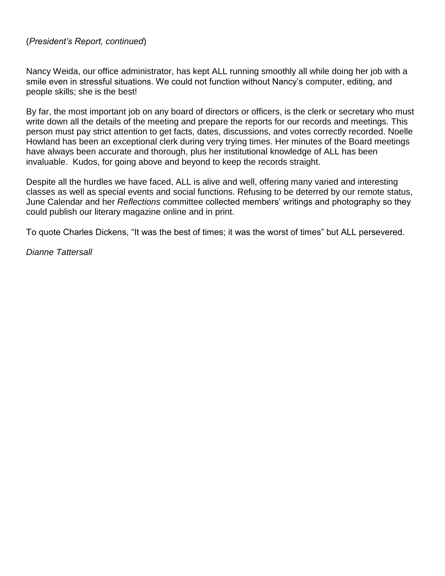### (*President's Report, continued*)

Nancy Weida, our office administrator, has kept ALL running smoothly all while doing her job with a smile even in stressful situations. We could not function without Nancy's computer, editing, and people skills; she is the best!

By far, the most important job on any board of directors or officers, is the clerk or secretary who must write down all the details of the meeting and prepare the reports for our records and meetings. This person must pay strict attention to get facts, dates, discussions, and votes correctly recorded. Noelle Howland has been an exceptional clerk during very trying times. Her minutes of the Board meetings have always been accurate and thorough, plus her institutional knowledge of ALL has been invaluable. Kudos, for going above and beyond to keep the records straight.

Despite all the hurdles we have faced, ALL is alive and well, offering many varied and interesting classes as well as special events and social functions. Refusing to be deterred by our remote status, June Calendar and her *Reflections* committee collected members' writings and photography so they could publish our literary magazine online and in print.

To quote Charles Dickens, "It was the best of times; it was the worst of times" but ALL persevered.

*Dianne Tattersall*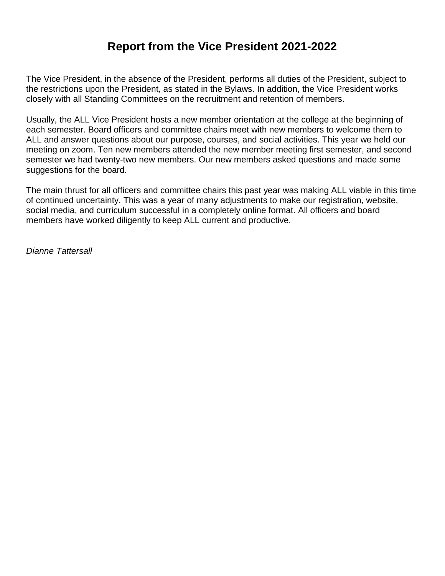# **Report from the Vice President 2021-2022**

The Vice President, in the absence of the President, performs all duties of the President, subject to the restrictions upon the President, as stated in the Bylaws. In addition, the Vice President works closely with all Standing Committees on the recruitment and retention of members.

Usually, the ALL Vice President hosts a new member orientation at the college at the beginning of each semester. Board officers and committee chairs meet with new members to welcome them to ALL and answer questions about our purpose, courses, and social activities. This year we held our meeting on zoom. Ten new members attended the new member meeting first semester, and second semester we had twenty-two new members. Our new members asked questions and made some suggestions for the board.

The main thrust for all officers and committee chairs this past year was making ALL viable in this time of continued uncertainty. This was a year of many adjustments to make our registration, website, social media, and curriculum successful in a completely online format. All officers and board members have worked diligently to keep ALL current and productive.

*Dianne Tattersall*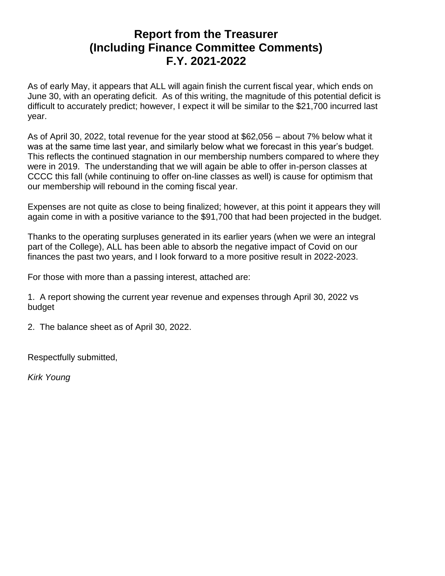### **Report from the Treasurer (Including Finance Committee Comments) F.Y. 2021-2022**

As of early May, it appears that ALL will again finish the current fiscal year, which ends on June 30, with an operating deficit. As of this writing, the magnitude of this potential deficit is difficult to accurately predict; however, I expect it will be similar to the \$21,700 incurred last year.

As of April 30, 2022, total revenue for the year stood at \$62,056 – about 7% below what it was at the same time last year, and similarly below what we forecast in this year's budget. This reflects the continued stagnation in our membership numbers compared to where they were in 2019. The understanding that we will again be able to offer in-person classes at CCCC this fall (while continuing to offer on-line classes as well) is cause for optimism that our membership will rebound in the coming fiscal year.

Expenses are not quite as close to being finalized; however, at this point it appears they will again come in with a positive variance to the \$91,700 that had been projected in the budget.

Thanks to the operating surpluses generated in its earlier years (when we were an integral part of the College), ALL has been able to absorb the negative impact of Covid on our finances the past two years, and I look forward to a more positive result in 2022-2023.

For those with more than a passing interest, attached are:

1. A report showing the current year revenue and expenses through April 30, 2022 vs budget

2. The balance sheet as of April 30, 2022.

Respectfully submitted,

*Kirk Young*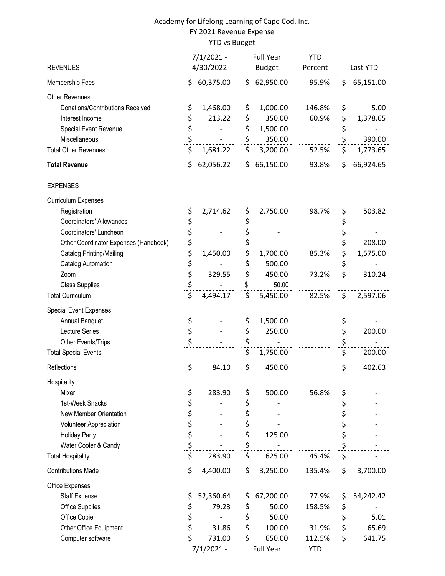### Academy for Lifelong Learning of Cape Cod, Inc. FY 2021 Revenue Expense YTD vs Budget

| <b>REVENUES</b>                       |                           | $7/1/2021 -$<br>4/30/2022 |     | <b>Full Year</b><br><b>Budget</b> | <b>YTD</b><br>Percent |                | <b>Last YTD</b> |
|---------------------------------------|---------------------------|---------------------------|-----|-----------------------------------|-----------------------|----------------|-----------------|
|                                       |                           |                           |     |                                   |                       |                |                 |
| Membership Fees                       | \$                        | 60,375.00                 | \$. | 62,950.00                         | 95.9%                 | \$             | 65,151.00       |
| <b>Other Revenues</b>                 |                           |                           |     |                                   |                       |                |                 |
| Donations/Contributions Received      | \$                        | 1,468.00                  | \$  | 1,000.00                          | 146.8%                | \$             | 5.00            |
| Interest Income                       | \$                        | 213.22                    | \$  | 350.00                            | 60.9%                 | \$             | 1,378.65        |
| Special Event Revenue                 | \$                        |                           | \$  | 1,500.00                          |                       | \$             |                 |
| Miscellaneous                         | $\mathsf{S}_{\mathsf{m}}$ |                           | \$  | 350.00                            |                       | \$<br>mnimm    | 390.00          |
| <b>Total Other Revenues</b>           | \$                        | 1,681.22                  | \$  | 3,200.00                          | 52.5%                 | \$             | 1,773.65        |
| <b>Total Revenue</b>                  | \$                        | 62,056.22                 | \$  | 66,150.00                         | 93.8%                 | \$             | 66,924.65       |
| <b>EXPENSES</b>                       |                           |                           |     |                                   |                       |                |                 |
| <b>Curriculum Expenses</b>            |                           |                           |     |                                   |                       |                |                 |
| Registration                          | \$                        | 2,714.62                  | \$  | 2,750.00                          | 98.7%                 | \$             | 503.82          |
| Coordinators' Allowances              | \$                        |                           | \$  |                                   |                       | \$             |                 |
| Coordinators' Luncheon                | \$                        |                           | \$  |                                   |                       | \$             |                 |
| Other Coordinator Expenses (Handbook) | \$                        |                           | \$  |                                   |                       | \$             | 208.00          |
| Catalog Printing/Mailing              | \$                        | 1,450.00                  | \$  | 1,700.00                          | 85.3%                 | \$             | 1,575.00        |
| Catalog Automation                    | \$                        |                           | \$  | 500.00                            |                       | \$             |                 |
| Zoom                                  | \$                        | 329.55                    | \$  | 450.00                            | 73.2%                 | \$             | 310.24          |
| <b>Class Supplies</b>                 | ڲ                         |                           | \$  | 50.00                             |                       |                |                 |
| <b>Total Curriculum</b>               | \$                        | 4,494.17                  | \$  | 5,450.00                          | 82.5%                 | \$             | 2,597.06        |
| Special Event Expenses                |                           |                           |     |                                   |                       |                |                 |
| Annual Banquet                        | \$                        |                           | \$  | 1,500.00                          |                       | \$             |                 |
| Lecture Series                        | \$                        |                           | \$  | 250.00                            |                       | \$             | 200.00          |
| Other Events/Trips                    | \$                        |                           | \$  |                                   |                       | \$             |                 |
| <b>Total Special Events</b>           |                           |                           | \$  | 1,750.00                          |                       | unimumum<br>\$ | 200.00          |
| Reflections                           | \$                        | 84.10                     | \$  | 450.00                            |                       | \$             | 402.63          |
|                                       |                           |                           |     |                                   |                       |                |                 |
| Hospitality                           |                           |                           |     |                                   |                       |                |                 |
| Mixer                                 | \$                        | 283.90                    | \$  | 500.00                            | 56.8%                 | \$             |                 |
| 1st-Week Snacks                       | \$                        |                           | \$  |                                   |                       | \$             |                 |
| New Member Orientation                | \$                        |                           | \$  |                                   |                       | \$             |                 |
| Volunteer Appreciation                | \$                        |                           | \$  |                                   |                       | \$             |                 |
| <b>Holiday Party</b>                  | \$                        |                           | \$  | 125.00                            |                       | \$             |                 |
| Water Cooler & Candy                  | $\frac{5}{2}$             |                           | \$  |                                   |                       | $\frac{1}{2}$  |                 |
| <b>Total Hospitality</b>              | \$                        | 283.90                    | \$  | 625.00                            | 45.4%                 | \$             |                 |
| <b>Contributions Made</b>             | \$                        | 4,400.00                  | \$  | 3,250.00                          | 135.4%                | \$             | 3,700.00        |
| Office Expenses                       |                           |                           |     |                                   |                       |                |                 |
| Staff Expense                         | \$                        | 52,360.64                 | \$  | 67,200.00                         | 77.9%                 | \$             | 54,242.42       |
| <b>Office Supplies</b>                | \$                        | 79.23                     | \$  | 50.00                             | 158.5%                | \$             |                 |
| Office Copier                         | \$                        |                           | \$  | 50.00                             |                       | \$             | 5.01            |
| Other Office Equipment                | \$                        | 31.86                     | \$  | 100.00                            | 31.9%                 | \$             | 65.69           |
| Computer software                     | \$                        | 731.00                    | \$  | 650.00                            | 112.5%                | \$             | 641.75          |
|                                       |                           | $7/1/2021 -$              |     | <b>Full Year</b>                  | <b>YTD</b>            |                |                 |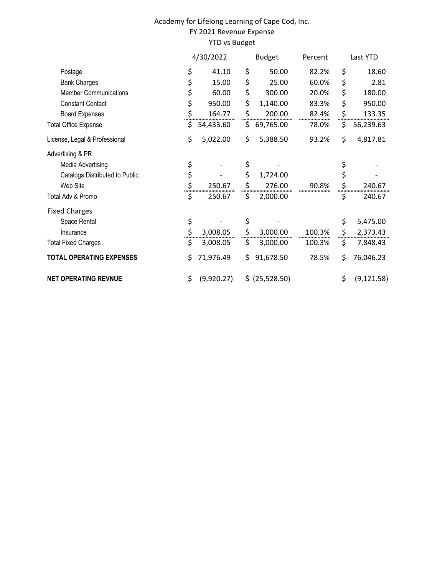### Academy for Lifelong Learning of Cape Cod, Inc. FY 2021 Revenue Expense YTD vs Budget

|                                 |    | 4/30/2022  |    | <b>Budget</b>  | Percent | Last YTD          |
|---------------------------------|----|------------|----|----------------|---------|-------------------|
| Postage                         | \$ | 41.10      | \$ | 50.00          | 82.2%   | \$<br>18.60       |
| <b>Bank Charges</b>             |    | 15.00      | \$ | 25.00          | 60.0%   | \$<br>2.81        |
| <b>Member Communications</b>    | \$ | 60.00      | \$ | 300.00         | 20.0%   | \$<br>180.00      |
| <b>Constant Contact</b>         | \$ | 950.00     | \$ | 1,140.00       | 83.3%   | \$<br>950.00      |
| <b>Board Expenses</b>           | \$ | 164.77     | \$ | 200.00         | 82.4%   | \$<br>133.35      |
| <b>Total Office Expense</b>     | Ş  | 54,433.60  | Ş  | 69,765.00      | 78.0%   | \$<br>56,239.63   |
| License, Legal & Professional   | \$ | 5,022.00   | \$ | 5,388.50       | 93.2%   | \$<br>4,817.81    |
| Advertising & PR                |    |            |    |                |         |                   |
| Media Advertising               | \$ |            | \$ |                |         | \$                |
| Catalogs Distributed to Public  | \$ |            | \$ | 1,724.00       |         | \$                |
| Web Site                        | \$ | 250.67     | \$ | 276.00         | 90.8%   | \$<br>240.67      |
| Total Adv & Promo               | \$ | 250.67     | \$ | 2,000.00       |         | \$<br>240.67      |
| <b>Fixed Charges</b>            |    |            |    |                |         |                   |
| Space Rental                    | \$ |            | \$ |                |         | \$<br>5,475.00    |
| Insurance                       | \$ | 3,008.05   | \$ | 3,000.00       | 100.3%  | \$<br>2,373.43    |
| <b>Total Fixed Charges</b>      | \$ | 3,008.05   | \$ | 3,000.00       | 100.3%  | \$<br>7,848.43    |
| <b>TOTAL OPERATING EXPENSES</b> | \$ | 71,976.49  | \$ | 91,678.50      | 78.5%   | \$<br>76,046.23   |
| <b>NET OPERATING REVNUE</b>     | \$ | (9,920.27) |    | \$ (25,528.50) |         | \$<br>(9, 121.58) |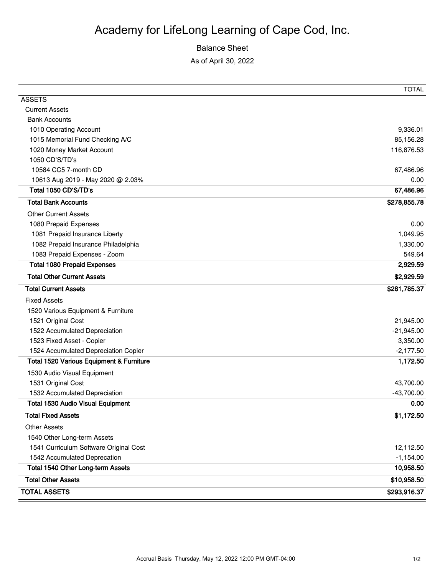# Academy for LifeLong Learning of Cape Cod, Inc.

### Balance Sheet

As of April 30, 2022

|                                                     | TOTAL        |
|-----------------------------------------------------|--------------|
| <b>ASSETS</b>                                       |              |
| <b>Current Assets</b>                               |              |
| <b>Bank Accounts</b>                                |              |
| 1010 Operating Account                              | 9,336.01     |
| 1015 Memorial Fund Checking A/C                     | 85,156.28    |
| 1020 Money Market Account                           | 116,876.53   |
| 1050 CD'S/TD's                                      |              |
| 10584 CC5 7-month CD                                | 67,486.96    |
| 10613 Aug 2019 - May 2020 @ 2.03%                   | 0.00         |
| Total 1050 CD'S/TD's                                | 67,486.96    |
| <b>Total Bank Accounts</b>                          | \$278,855.78 |
| <b>Other Current Assets</b>                         |              |
| 1080 Prepaid Expenses                               | 0.00         |
| 1081 Prepaid Insurance Liberty                      | 1,049.95     |
| 1082 Prepaid Insurance Philadelphia                 | 1,330.00     |
| 1083 Prepaid Expenses - Zoom                        | 549.64       |
| <b>Total 1080 Prepaid Expenses</b>                  | 2,929.59     |
| <b>Total Other Current Assets</b>                   | \$2,929.59   |
| <b>Total Current Assets</b>                         | \$281,785.37 |
| <b>Fixed Assets</b>                                 |              |
| 1520 Various Equipment & Furniture                  |              |
| 1521 Original Cost                                  | 21,945.00    |
| 1522 Accumulated Depreciation                       | $-21,945.00$ |
| 1523 Fixed Asset - Copier                           | 3,350.00     |
| 1524 Accumulated Depreciation Copier                | $-2,177.50$  |
| <b>Total 1520 Various Equipment &amp; Furniture</b> | 1,172.50     |
| 1530 Audio Visual Equipment                         |              |
| 1531 Original Cost                                  | 43,700.00    |
| 1532 Accumulated Depreciation                       | $-43,700.00$ |
| <b>Total 1530 Audio Visual Equipment</b>            | 0.00         |
| <b>Total Fixed Assets</b>                           | \$1,172.50   |
| <b>Other Assets</b>                                 |              |
| 1540 Other Long-term Assets                         |              |
| 1541 Curriculum Software Original Cost              | 12,112.50    |
| 1542 Accumulated Deprecation                        | $-1,154.00$  |
| Total 1540 Other Long-term Assets                   | 10,958.50    |
| <b>Total Other Assets</b>                           | \$10,958.50  |
| <b>TOTAL ASSETS</b>                                 | \$293,916.37 |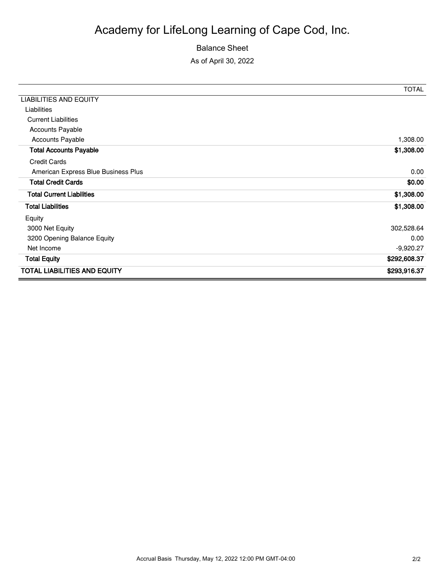# Balance Sheet

As of April 30, 2022

|                                     | <b>TOTAL</b> |
|-------------------------------------|--------------|
| <b>LIABILITIES AND EQUITY</b>       |              |
| Liabilities                         |              |
| <b>Current Liabilities</b>          |              |
| <b>Accounts Payable</b>             |              |
| <b>Accounts Payable</b>             | 1,308.00     |
| <b>Total Accounts Payable</b>       | \$1,308.00   |
| <b>Credit Cards</b>                 |              |
| American Express Blue Business Plus | 0.00         |
| <b>Total Credit Cards</b>           | \$0.00       |
| <b>Total Current Liabilities</b>    | \$1,308.00   |
| <b>Total Liabilities</b>            | \$1,308.00   |
| Equity                              |              |
| 3000 Net Equity                     | 302,528.64   |
| 3200 Opening Balance Equity         | 0.00         |
| Net Income                          | $-9,920.27$  |
| <b>Total Equity</b>                 | \$292,608.37 |
| <b>TOTAL LIABILITIES AND EQUITY</b> | \$293,916.37 |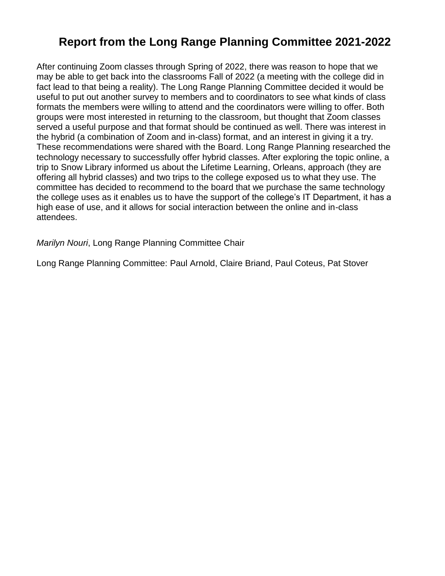### **Report from the Long Range Planning Committee 2021-2022**

After continuing Zoom classes through Spring of 2022, there was reason to hope that we may be able to get back into the classrooms Fall of 2022 (a meeting with the college did in fact lead to that being a reality). The Long Range Planning Committee decided it would be useful to put out another survey to members and to coordinators to see what kinds of class formats the members were willing to attend and the coordinators were willing to offer. Both groups were most interested in returning to the classroom, but thought that Zoom classes served a useful purpose and that format should be continued as well. There was interest in the hybrid (a combination of Zoom and in-class) format, and an interest in giving it a try. These recommendations were shared with the Board. Long Range Planning researched the technology necessary to successfully offer hybrid classes. After exploring the topic online, a trip to Snow Library informed us about the Lifetime Learning, Orleans, approach (they are offering all hybrid classes) and two trips to the college exposed us to what they use. The committee has decided to recommend to the board that we purchase the same technology the college uses as it enables us to have the support of the college's IT Department, it has a high ease of use, and it allows for social interaction between the online and in-class attendees.

*Marilyn Nouri*, Long Range Planning Committee Chair

Long Range Planning Committee: Paul Arnold, Claire Briand, Paul Coteus, Pat Stover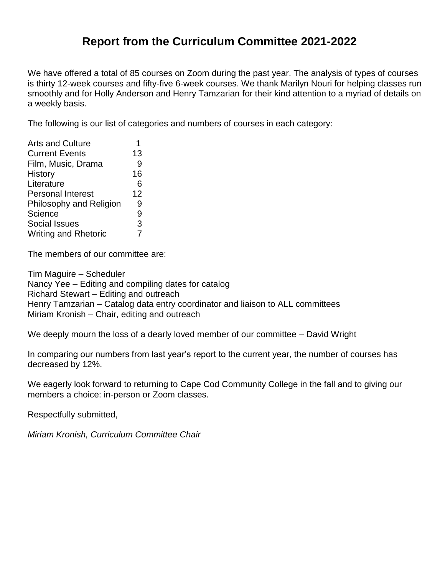### **Report from the Curriculum Committee 2021-2022**

We have offered a total of 85 courses on Zoom during the past year. The analysis of types of courses is thirty 12-week courses and fifty-five 6-week courses. We thank Marilyn Nouri for helping classes run smoothly and for Holly Anderson and Henry Tamzarian for their kind attention to a myriad of details on a weekly basis.

The following is our list of categories and numbers of courses in each category:

| <b>Arts and Culture</b>     |    |
|-----------------------------|----|
| <b>Current Events</b>       | 13 |
| Film, Music, Drama          | 9  |
| <b>History</b>              | 16 |
| Literature                  | 6  |
| <b>Personal Interest</b>    | 12 |
| Philosophy and Religion     | 9  |
| Science                     | 9  |
| Social Issues               | 3  |
| <b>Writing and Rhetoric</b> |    |

The members of our committee are:

Tim Maguire – Scheduler Nancy Yee – Editing and compiling dates for catalog Richard Stewart – Editing and outreach Henry Tamzarian – Catalog data entry coordinator and liaison to ALL committees Miriam Kronish – Chair, editing and outreach

We deeply mourn the loss of a dearly loved member of our committee – David Wright

In comparing our numbers from last year's report to the current year, the number of courses has decreased by 12%.

We eagerly look forward to returning to Cape Cod Community College in the fall and to giving our members a choice: in-person or Zoom classes.

Respectfully submitted,

*Miriam Kronish, Curriculum Committee Chair*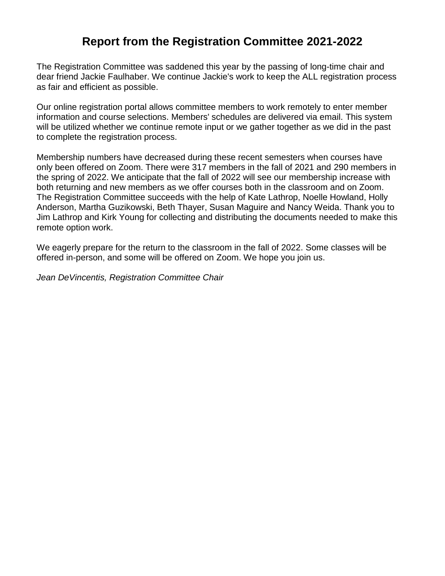### **Report from the Registration Committee 2021-2022**

The Registration Committee was saddened this year by the passing of long-time chair and dear friend Jackie Faulhaber. We continue Jackie's work to keep the ALL registration process as fair and efficient as possible.

Our online registration portal allows committee members to work remotely to enter member information and course selections. Members' schedules are delivered via email. This system will be utilized whether we continue remote input or we gather together as we did in the past to complete the registration process.

Membership numbers have decreased during these recent semesters when courses have only been offered on Zoom. There were 317 members in the fall of 2021 and 290 members in the spring of 2022. We anticipate that the fall of 2022 will see our membership increase with both returning and new members as we offer courses both in the classroom and on Zoom. The Registration Committee succeeds with the help of Kate Lathrop, Noelle Howland, Holly Anderson, Martha Guzikowski, Beth Thayer, Susan Maguire and Nancy Weida. Thank you to Jim Lathrop and Kirk Young for collecting and distributing the documents needed to make this remote option work.

We eagerly prepare for the return to the classroom in the fall of 2022. Some classes will be offered in-person, and some will be offered on Zoom. We hope you join us.

*Jean DeVincentis, Registration Committee Chair*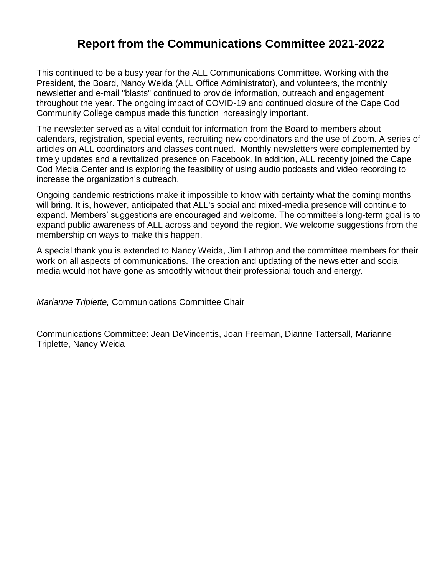### **Report from the Communications Committee 2021-2022**

This continued to be a busy year for the ALL Communications Committee. Working with the President, the Board, Nancy Weida (ALL Office Administrator), and volunteers, the monthly newsletter and e-mail "blasts" continued to provide information, outreach and engagement throughout the year. The ongoing impact of COVID-19 and continued closure of the Cape Cod Community College campus made this function increasingly important.

The newsletter served as a vital conduit for information from the Board to members about calendars, registration, special events, recruiting new coordinators and the use of Zoom. A series of articles on ALL coordinators and classes continued. Monthly newsletters were complemented by timely updates and a revitalized presence on Facebook. In addition, ALL recently joined the Cape Cod Media Center and is exploring the feasibility of using audio podcasts and video recording to increase the organization's outreach.

Ongoing pandemic restrictions make it impossible to know with certainty what the coming months will bring. It is, however, anticipated that ALL's social and mixed-media presence will continue to expand. Members' suggestions are encouraged and welcome. The committee's long-term goal is to expand public awareness of ALL across and beyond the region. We welcome suggestions from the membership on ways to make this happen.

A special thank you is extended to Nancy Weida, Jim Lathrop and the committee members for their work on all aspects of communications. The creation and updating of the newsletter and social media would not have gone as smoothly without their professional touch and energy.

*Marianne Triplette,* Communications Committee Chair

Communications Committee: Jean DeVincentis, Joan Freeman, Dianne Tattersall, Marianne Triplette, Nancy Weida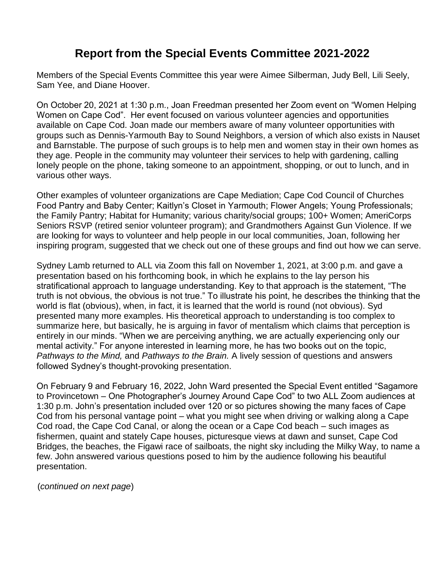### **Report from the Special Events Committee 2021-2022**

Members of the Special Events Committee this year were Aimee Silberman, Judy Bell, Lili Seely, Sam Yee, and Diane Hoover.

On October 20, 2021 at 1:30 p.m., Joan Freedman presented her Zoom event on "Women Helping Women on Cape Cod". Her event focused on various volunteer agencies and opportunities available on Cape Cod. Joan made our members aware of many volunteer opportunities with groups such as Dennis-Yarmouth Bay to Sound Neighbors, a version of which also exists in Nauset and Barnstable. The purpose of such groups is to help men and women stay in their own homes as they age. People in the community may volunteer their services to help with gardening, calling lonely people on the phone, taking someone to an appointment, shopping, or out to lunch, and in various other ways.

Other examples of volunteer organizations are Cape Mediation; Cape Cod Council of Churches Food Pantry and Baby Center; Kaitlyn's Closet in Yarmouth; Flower Angels; Young Professionals; the Family Pantry; Habitat for Humanity; various charity/social groups; 100+ Women; AmeriCorps Seniors RSVP (retired senior volunteer program); and Grandmothers Against Gun Violence. If we are looking for ways to volunteer and help people in our local communities, Joan, following her inspiring program, suggested that we check out one of these groups and find out how we can serve.

Sydney Lamb returned to ALL via Zoom this fall on November 1, 2021, at 3:00 p.m. and gave a presentation based on his forthcoming book, in which he explains to the lay person his stratificational approach to language understanding. Key to that approach is the statement, "The truth is not obvious, the obvious is not true." To illustrate his point, he describes the thinking that the world is flat (obvious), when, in fact, it is learned that the world is round (not obvious). Syd presented many more examples. His theoretical approach to understanding is too complex to summarize here, but basically, he is arguing in favor of mentalism which claims that perception is entirely in our minds. "When we are perceiving anything, we are actually experiencing only our mental activity." For anyone interested in learning more, he has two books out on the topic, *Pathways to the Mind,* and *Pathways to the Brain.* A lively session of questions and answers followed Sydney's thought-provoking presentation.

On February 9 and February 16, 2022, John Ward presented the Special Event entitled "Sagamore to Provincetown – One Photographer's Journey Around Cape Cod" to two ALL Zoom audiences at 1:30 p.m. John's presentation included over 120 or so pictures showing the many faces of Cape Cod from his personal vantage point – what you might see when driving or walking along a Cape Cod road, the Cape Cod Canal, or along the ocean or a Cape Cod beach – such images as fishermen, quaint and stately Cape houses, picturesque views at dawn and sunset, Cape Cod Bridges, the beaches, the Figawi race of sailboats, the night sky including the Milky Way, to name a few. John answered various questions posed to him by the audience following his beautiful presentation.

(*continued on next page*)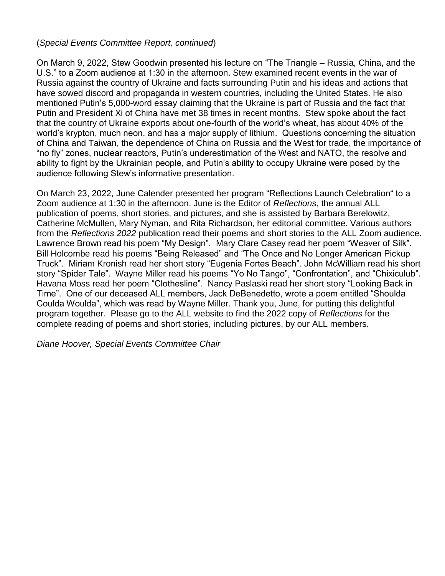#### (*Special Events Committee Report, continued*)

On March 9, 2022, Stew Goodwin presented his lecture on "The Triangle – Russia, China, and the U.S." to a Zoom audience at 1:30 in the afternoon. Stew examined recent events in the war of Russia against the country of Ukraine and facts surrounding Putin and his ideas and actions that have sowed discord and propaganda in western countries, including the United States. He also mentioned Putin's 5,000-word essay claiming that the Ukraine is part of Russia and the fact that Putin and President Xi of China have met 38 times in recent months. Stew spoke about the fact that the country of Ukraine exports about one-fourth of the world's wheat, has about 40% of the world's krypton, much neon, and has a major supply of lithium. Questions concerning the situation of China and Taiwan, the dependence of China on Russia and the West for trade, the importance of "no fly" zones, nuclear reactors, Putin's underestimation of the West and NATO, the resolve and ability to fight by the Ukrainian people, and Putin's ability to occupy Ukraine were posed by the audience following Stew's informative presentation.

On March 23, 2022, June Calender presented her program "Reflections Launch Celebration" to a Zoom audience at 1:30 in the afternoon. June is the Editor of *Reflections*, the annual ALL publication of poems, short stories, and pictures, and she is assisted by Barbara Berelowitz, Catherine McMullen, Mary Nyman, and Rita Richardson, her editorial committee. Various authors from the *Reflections 2022* publication read their poems and short stories to the ALL Zoom audience. Lawrence Brown read his poem "My Design". Mary Clare Casey read her poem "Weaver of Silk". Bill Holcombe read his poems "Being Released" and "The Once and No Longer American Pickup Truck". Miriam Kronish read her short story "Eugenia Fortes Beach". John McWilliam read his short story "Spider Tale". Wayne Miller read his poems "Yo No Tango", "Confrontation", and "Chixiculub". Havana Moss read her poem "Clothesline". Nancy Paslaski read her short story "Looking Back in Time". One of our deceased ALL members, Jack DeBenedetto, wrote a poem entitled "Shoulda Coulda Woulda", which was read by Wayne Miller. Thank you, June, for putting this delightful program together. Please go to the ALL website to find the 2022 copy of *Reflections* for the complete reading of poems and short stories, including pictures, by our ALL members.

*Diane Hoover, Special Events Committee Chair*